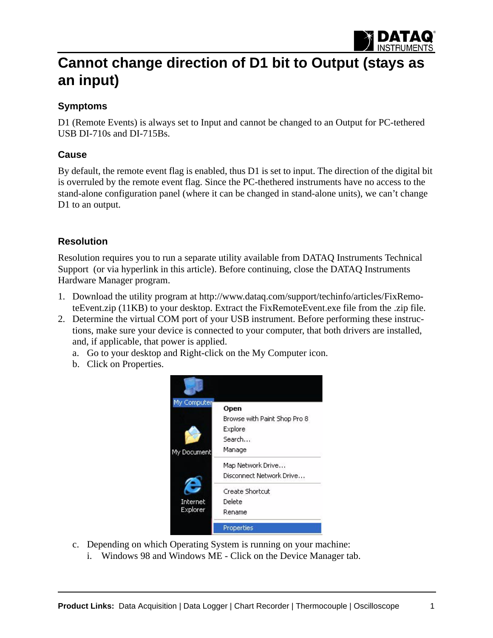

# **Cannot change direction of D1 bit to Output (stays as an input)**

### **Symptoms**

D1 (Remote Events) is always set to Input and cannot be changed to an Output for PC-tethered USB DI-710s and DI-715Bs.

#### **Cause**

By default, the remote event flag is enabled, thus D1 is set to input. The direction of the digital bit is overruled by the remote event flag. Since the PC-thethered instruments have no access to the stand-alone configuration panel (where it can be changed in stand-alone units), we can't change D1 to an output.

## **Resolution**

Resolution requires you to run a separate utility available from DATAQ Instruments Technical Support (or via hyperlink in this article). Before continuing, close the DATAQ Instruments Hardware Manager program.

- 1. Download the utility program at http://www.dataq.com/support/techinfo/articles/FixRemo[teEvent.zip \(11KB\) to your desktop. Extract the FixRemoteEvent.exe file from the .zip file.](http://www.dataq.com/support/techinfo/articles/FixRemoteEvent.zip)
- 2. Determine the virtual COM port of your USB instrument. Before performing these instructions, make sure your device is connected to your computer, that both drivers are installed, and, if applicable, that power is applied.
	- a. Go to your desktop and Right-click on the My Computer icon.
	- b. Click on Properties.



- c. Depending on which Operating System is running on your machine:
	- i. Windows 98 and Windows ME Click on the Device Manager tab.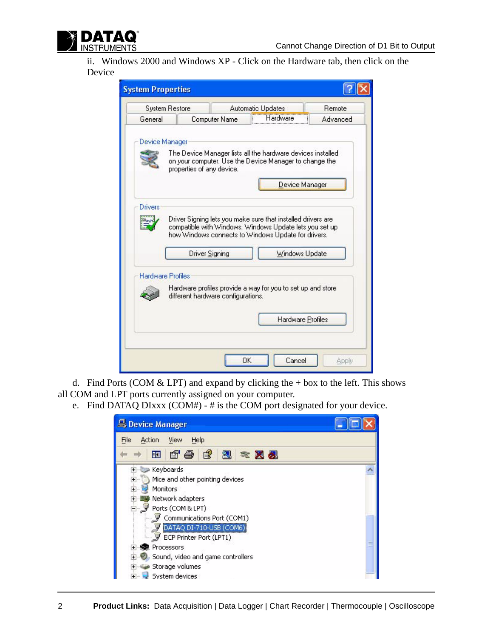

ii. Windows 2000 and Windows XP - Click on the Hardware tab, then click on the Device

| <b>System Restore</b>    | <b>Automatic Updates</b>                                                                                              |          |                   | Remote   |
|--------------------------|-----------------------------------------------------------------------------------------------------------------------|----------|-------------------|----------|
| General                  | Computer Name                                                                                                         | Hardware |                   | Advanced |
|                          |                                                                                                                       |          |                   |          |
| Device Manager           |                                                                                                                       |          |                   |          |
|                          | The Device Manager lists all the hardware devices installed<br>on your computer. Use the Device Manager to change the |          |                   |          |
|                          | properties of any device.                                                                                             |          |                   |          |
|                          |                                                                                                                       |          | Device Manager    |          |
|                          |                                                                                                                       |          |                   |          |
| Drivers                  |                                                                                                                       |          |                   |          |
|                          |                                                                                                                       |          |                   |          |
|                          | Driver Signing lets you make sure that installed drivers are                                                          |          |                   |          |
|                          | compatible with Windows. Windows Update lets you set up<br>how Windows connects to Windows Update for drivers.        |          |                   |          |
|                          |                                                                                                                       |          |                   |          |
|                          | <b>Driver Signing</b>                                                                                                 |          | Windows Update    |          |
|                          |                                                                                                                       |          |                   |          |
| <b>Hardware Profiles</b> |                                                                                                                       |          |                   |          |
|                          | Hardware profiles provide a way for you to set up and store<br>different hardware configurations.                     |          |                   |          |
|                          |                                                                                                                       |          |                   |          |
|                          |                                                                                                                       |          | Hardware Profiles |          |
|                          |                                                                                                                       |          |                   |          |

d. Find Ports (COM  $&$  LPT) and expand by clicking the + box to the left. This shows all COM and LPT ports currently assigned on your computer.

e. Find DATAQ DIxxx  $(COM#) - #$  is the COM port designated for your device.

| Device Manager                                                                                                                                                                                                                                                                                                       |  |  |
|----------------------------------------------------------------------------------------------------------------------------------------------------------------------------------------------------------------------------------------------------------------------------------------------------------------------|--|--|
| File<br>Help<br>Action<br>View                                                                                                                                                                                                                                                                                       |  |  |
| ぽ<br>n'a<br>丽<br>図<br><b>* 风观</b>                                                                                                                                                                                                                                                                                    |  |  |
| Keyboards<br>$+$<br>Mice and other pointing devices<br>$+$<br><b>Monitors</b><br>$\overline{+}$<br>Network adapters<br>Ports (COM & LPT)<br>Communications Port (COM1)<br>DATAQ DI-710-USB (COM6)<br>ECP Printer Port (LPT1)<br>Processors<br>Sound, video and game controllers<br>Storage volumes<br>System devices |  |  |